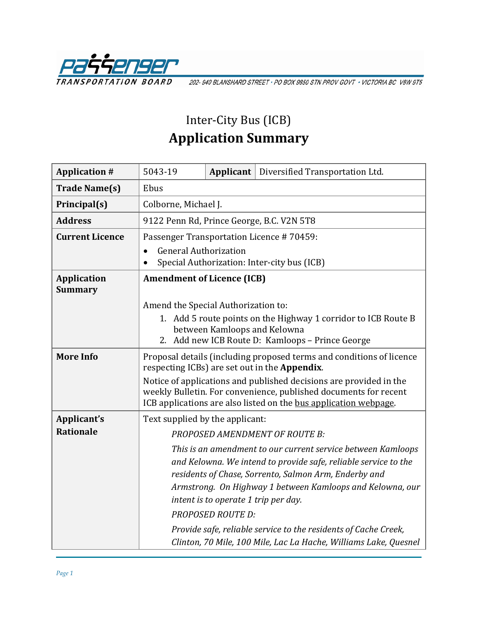

202-940 BLANSHARD STREET · PO BOX 9850 STN PROV GOVT · VICTORIA BC V8W 9T5

## Inter-City Bus (ICB) **Application Summary**

| <b>Application #</b>                 | 5043-19                                                                                                                                                                                                    | Applicant                                                        | Diversified Transportation Ltd.                                                                                                                                                                                                                       |
|--------------------------------------|------------------------------------------------------------------------------------------------------------------------------------------------------------------------------------------------------------|------------------------------------------------------------------|-------------------------------------------------------------------------------------------------------------------------------------------------------------------------------------------------------------------------------------------------------|
| <b>Trade Name(s)</b>                 | Ebus                                                                                                                                                                                                       |                                                                  |                                                                                                                                                                                                                                                       |
| Principal(s)                         | Colborne, Michael J.                                                                                                                                                                                       |                                                                  |                                                                                                                                                                                                                                                       |
| <b>Address</b>                       | 9122 Penn Rd, Prince George, B.C. V2N 5T8                                                                                                                                                                  |                                                                  |                                                                                                                                                                                                                                                       |
| <b>Current Licence</b>               | Passenger Transportation Licence #70459:                                                                                                                                                                   |                                                                  |                                                                                                                                                                                                                                                       |
|                                      | <b>General Authorization</b><br>$\bullet$<br>Special Authorization: Inter-city bus (ICB)                                                                                                                   |                                                                  |                                                                                                                                                                                                                                                       |
| <b>Application</b><br><b>Summary</b> | <b>Amendment of Licence (ICB)</b>                                                                                                                                                                          |                                                                  |                                                                                                                                                                                                                                                       |
|                                      | Amend the Special Authorization to:                                                                                                                                                                        |                                                                  |                                                                                                                                                                                                                                                       |
|                                      | 1. Add 5 route points on the Highway 1 corridor to ICB Route B<br>between Kamloops and Kelowna<br>2. Add new ICB Route D: Kamloops - Prince George                                                         |                                                                  |                                                                                                                                                                                                                                                       |
| <b>More Info</b>                     | Proposal details (including proposed terms and conditions of licence<br>respecting ICBs) are set out in the Appendix.                                                                                      |                                                                  |                                                                                                                                                                                                                                                       |
|                                      | Notice of applications and published decisions are provided in the<br>weekly Bulletin. For convenience, published documents for recent<br>ICB applications are also listed on the bus application webpage. |                                                                  |                                                                                                                                                                                                                                                       |
| Applicant's                          | Text supplied by the applicant:                                                                                                                                                                            |                                                                  |                                                                                                                                                                                                                                                       |
| <b>Rationale</b>                     | <b>PROPOSED AMENDMENT OF ROUTE B:</b>                                                                                                                                                                      |                                                                  |                                                                                                                                                                                                                                                       |
|                                      |                                                                                                                                                                                                            | intent is to operate 1 trip per day.<br><b>PROPOSED ROUTE D:</b> | This is an amendment to our current service between Kamloops<br>and Kelowna. We intend to provide safe, reliable service to the<br>residents of Chase, Sorrento, Salmon Arm, Enderby and<br>Armstrong. On Highway 1 between Kamloops and Kelowna, our |
|                                      |                                                                                                                                                                                                            |                                                                  | Provide safe, reliable service to the residents of Cache Creek,<br>Clinton, 70 Mile, 100 Mile, Lac La Hache, Williams Lake, Quesnel                                                                                                                   |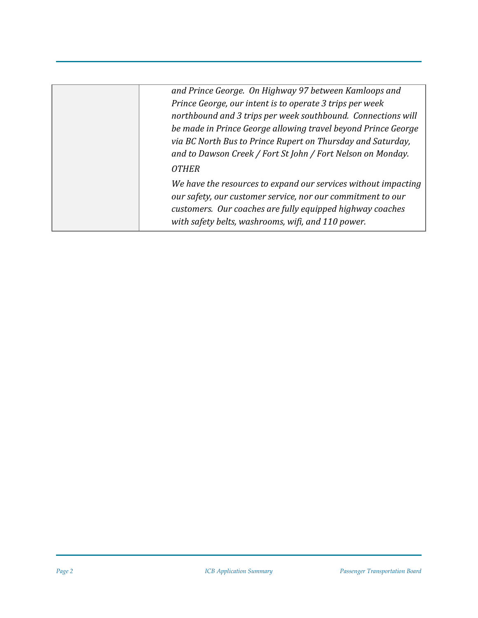| and Prince George. On Highway 97 between Kamloops and<br>Prince George, our intent is to operate 3 trips per week<br>northbound and 3 trips per week southbound. Connections will<br>be made in Prince George allowing travel beyond Prince George<br>via BC North Bus to Prince Rupert on Thursday and Saturday,<br>and to Dawson Creek / Fort St John / Fort Nelson on Monday.<br><b>OTHER</b><br>We have the resources to expand our services without impacting<br>our safety, our customer service, nor our commitment to our<br>customers. Our coaches are fully equipped highway coaches<br>with safety belts, washrooms, wifi, and 110 power. |  |
|------------------------------------------------------------------------------------------------------------------------------------------------------------------------------------------------------------------------------------------------------------------------------------------------------------------------------------------------------------------------------------------------------------------------------------------------------------------------------------------------------------------------------------------------------------------------------------------------------------------------------------------------------|--|
|                                                                                                                                                                                                                                                                                                                                                                                                                                                                                                                                                                                                                                                      |  |
|                                                                                                                                                                                                                                                                                                                                                                                                                                                                                                                                                                                                                                                      |  |
|                                                                                                                                                                                                                                                                                                                                                                                                                                                                                                                                                                                                                                                      |  |
|                                                                                                                                                                                                                                                                                                                                                                                                                                                                                                                                                                                                                                                      |  |
|                                                                                                                                                                                                                                                                                                                                                                                                                                                                                                                                                                                                                                                      |  |
|                                                                                                                                                                                                                                                                                                                                                                                                                                                                                                                                                                                                                                                      |  |
|                                                                                                                                                                                                                                                                                                                                                                                                                                                                                                                                                                                                                                                      |  |
|                                                                                                                                                                                                                                                                                                                                                                                                                                                                                                                                                                                                                                                      |  |
|                                                                                                                                                                                                                                                                                                                                                                                                                                                                                                                                                                                                                                                      |  |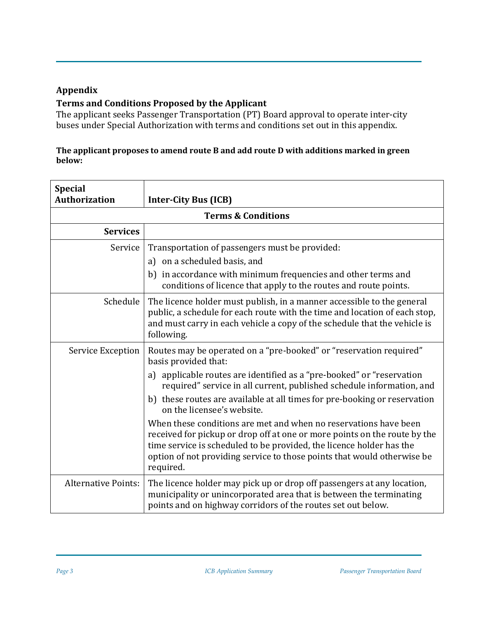## **Appendix**

## **Terms and Conditions Proposed by the Applicant**

The applicant seeks Passenger Transportation (PT) Board approval to operate inter-city buses under Special Authorization with terms and conditions set out in this appendix.

## **The applicant proposes to amend route B and add route D with additions marked in green below:**

| <b>Special</b><br><b>Authorization</b> | <b>Inter-City Bus (ICB)</b>                                                                                                                                                                                                                                                                                   |  |
|----------------------------------------|---------------------------------------------------------------------------------------------------------------------------------------------------------------------------------------------------------------------------------------------------------------------------------------------------------------|--|
| <b>Terms &amp; Conditions</b>          |                                                                                                                                                                                                                                                                                                               |  |
| <b>Services</b>                        |                                                                                                                                                                                                                                                                                                               |  |
| Service                                | Transportation of passengers must be provided:                                                                                                                                                                                                                                                                |  |
|                                        | on a scheduled basis, and<br>a)                                                                                                                                                                                                                                                                               |  |
|                                        | in accordance with minimum frequencies and other terms and<br>b)<br>conditions of licence that apply to the routes and route points.                                                                                                                                                                          |  |
| Schedule                               | The licence holder must publish, in a manner accessible to the general<br>public, a schedule for each route with the time and location of each stop,<br>and must carry in each vehicle a copy of the schedule that the vehicle is<br>following.                                                               |  |
| Service Exception                      | Routes may be operated on a "pre-booked" or "reservation required"<br>basis provided that:                                                                                                                                                                                                                    |  |
|                                        | a) applicable routes are identified as a "pre-booked" or "reservation<br>required" service in all current, published schedule information, and                                                                                                                                                                |  |
|                                        | b) these routes are available at all times for pre-booking or reservation<br>on the licensee's website.                                                                                                                                                                                                       |  |
|                                        | When these conditions are met and when no reservations have been<br>received for pickup or drop off at one or more points on the route by the<br>time service is scheduled to be provided, the licence holder has the<br>option of not providing service to those points that would otherwise be<br>required. |  |
| <b>Alternative Points:</b>             | The licence holder may pick up or drop off passengers at any location,<br>municipality or unincorporated area that is between the terminating<br>points and on highway corridors of the routes set out below.                                                                                                 |  |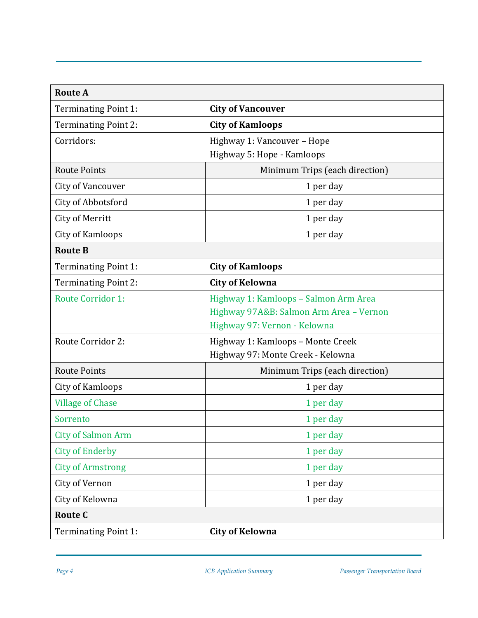| <b>Route A</b>              |                                         |  |
|-----------------------------|-----------------------------------------|--|
| Terminating Point 1:        | <b>City of Vancouver</b>                |  |
| <b>Terminating Point 2:</b> | <b>City of Kamloops</b>                 |  |
| Corridors:                  | Highway 1: Vancouver - Hope             |  |
|                             | Highway 5: Hope - Kamloops              |  |
| <b>Route Points</b>         | Minimum Trips (each direction)          |  |
| City of Vancouver           | 1 per day                               |  |
| City of Abbotsford          | 1 per day                               |  |
| City of Merritt             | 1 per day                               |  |
| City of Kamloops            | 1 per day                               |  |
| <b>Route B</b>              |                                         |  |
| Terminating Point 1:        | <b>City of Kamloops</b>                 |  |
| <b>Terminating Point 2:</b> | <b>City of Kelowna</b>                  |  |
| <b>Route Corridor 1:</b>    | Highway 1: Kamloops - Salmon Arm Area   |  |
|                             | Highway 97A&B: Salmon Arm Area - Vernon |  |
|                             | Highway 97: Vernon - Kelowna            |  |
| <b>Route Corridor 2:</b>    | Highway 1: Kamloops - Monte Creek       |  |
|                             | Highway 97: Monte Creek - Kelowna       |  |
| <b>Route Points</b>         | Minimum Trips (each direction)          |  |
| City of Kamloops            | 1 per day                               |  |
| <b>Village of Chase</b>     | 1 per day                               |  |
| Sorrento                    | 1 per day                               |  |
| <b>City of Salmon Arm</b>   | 1 per day                               |  |
| <b>City of Enderby</b>      | 1 per day                               |  |
| <b>City of Armstrong</b>    | 1 per day                               |  |
| City of Vernon              | 1 per day                               |  |
| City of Kelowna             | 1 per day                               |  |
| <b>Route C</b>              |                                         |  |
| <b>Terminating Point 1:</b> | <b>City of Kelowna</b>                  |  |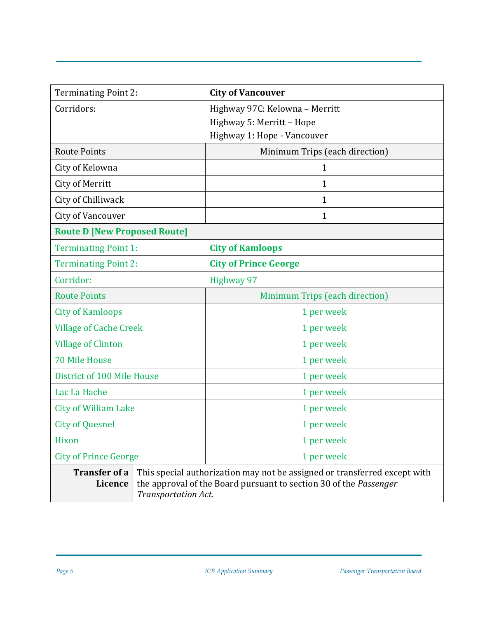| <b>Terminating Point 2:</b>            | <b>City of Vancouver</b>                                                                                                                                              |
|----------------------------------------|-----------------------------------------------------------------------------------------------------------------------------------------------------------------------|
| Corridors:                             | Highway 97C: Kelowna - Merritt                                                                                                                                        |
|                                        | Highway 5: Merritt - Hope                                                                                                                                             |
|                                        | Highway 1: Hope - Vancouver                                                                                                                                           |
| <b>Route Points</b>                    | Minimum Trips (each direction)                                                                                                                                        |
| City of Kelowna                        | 1                                                                                                                                                                     |
| City of Merritt                        | 1                                                                                                                                                                     |
| City of Chilliwack                     | $\mathbf 1$                                                                                                                                                           |
| City of Vancouver                      | 1                                                                                                                                                                     |
| <b>Route D [New Proposed Route]</b>    |                                                                                                                                                                       |
| <b>Terminating Point 1:</b>            | <b>City of Kamloops</b>                                                                                                                                               |
| <b>Terminating Point 2:</b>            | <b>City of Prince George</b>                                                                                                                                          |
| Corridor:                              | Highway 97                                                                                                                                                            |
| <b>Route Points</b>                    | Minimum Trips (each direction)                                                                                                                                        |
| <b>City of Kamloops</b>                | 1 per week                                                                                                                                                            |
| <b>Village of Cache Creek</b>          | 1 per week                                                                                                                                                            |
| <b>Village of Clinton</b>              | 1 per week                                                                                                                                                            |
| <b>70 Mile House</b>                   | 1 per week                                                                                                                                                            |
| District of 100 Mile House             | 1 per week                                                                                                                                                            |
| Lac La Hache                           | 1 per week                                                                                                                                                            |
| <b>City of William Lake</b>            | 1 per week                                                                                                                                                            |
| <b>City of Quesnel</b>                 | 1 per week                                                                                                                                                            |
| Hixon                                  | 1 per week                                                                                                                                                            |
| <b>City of Prince George</b>           | 1 per week                                                                                                                                                            |
| <b>Transfer of a</b><br><b>Licence</b> | This special authorization may not be assigned or transferred except with<br>the approval of the Board pursuant to section 30 of the Passenger<br>Transportation Act. |